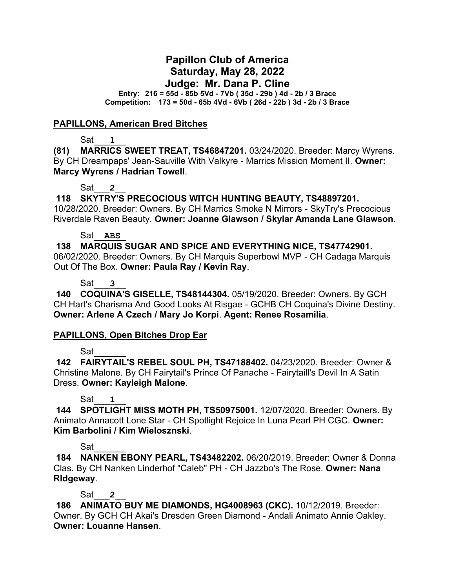# **Papillon Club of America Saturday, May 28, 2022 Judge: Mr. Dana P. Cline**

**Entry: 216 = 55d - 85b 5Vd - 7Vb ( 35d - 29b ) 4d - 2b / 3 Brace Competition: 173 = 50d - 65b 4Vd - 6Vb ( 26d - 22b ) 3d - 2b / 3 Brace**

#### **PAPILLONS, American Bred Bitches**

Sat\_\_\_**1**\_\_

**(81) MARRICS SWEET TREAT, TS46847201.** 03/24/2020. Breeder: Marcy Wyrens. By CH Dreampaps' Jean-Sauville With Valkyre - Marrics Mission Moment II. **Owner: Marcy Wyrens / Hadrian Towell**.

### Sat\_\_\_**2**\_\_

**118 SKYTRY'S PRECOCIOUS WITCH HUNTING BEAUTY, TS48897201.** 

10/28/2020. Breeder: Owners. By CH Marrics Smoke N Mirrors - SkyTry's Precocious Riverdale Raven Beauty. **Owner: Joanne Glawson / Skylar Amanda Lane Glawson**.

#### Sat\_\_**ABS**\_

**138 MARQUIS SUGAR AND SPICE AND EVERYTHING NICE, TS47742901.**  06/02/2020. Breeder: Owners. By CH Marquis Superbowl MVP - CH Cadaga Marquis Out Of The Box. **Owner: Paula Ray / Kevin Ray**.

### Sat\_\_\_**3**\_\_

**140 COQUINA'S GISELLE, TS48144304.** 05/19/2020. Breeder: Owners. By GCH CH Hart's Charisma And Good Looks At Risgae - GCHB CH Coquina's Divine Destiny. **Owner: Arlene A Czech / Mary Jo Korpi**. **Agent: Renee Rosamilia**.

## **PAPILLONS, Open Bitches Drop Ear**

Sat\_\_\_\_\_\_

**142 FAIRYTAIL'S REBEL SOUL PH, TS47188402.** 04/23/2020. Breeder: Owner & Christine Malone. By CH Fairytail's Prince Of Panache - Fairytaill's Devil In A Satin Dress. **Owner: Kayleigh Malone**.

## Sat\_\_\_**1**\_\_

**144 SPOTLIGHT MISS MOTH PH, TS50975001.** 12/07/2020. Breeder: Owners. By Animato Annacott Lone Star - CH Spotlight Rejoice In Luna Pearl PH CGC. **Owner: Kim Barbolini / Kim Wielosznski**.

## Sat\_\_\_\_\_\_

**184 NANKEN EBONY PEARL, TS43482202.** 06/20/2019. Breeder: Owner & Donna Clas. By CH Nanken Linderhof "Caleb" PH - CH Jazzbo's The Rose. **Owner: Nana RIdgeway**.

Sat\_\_\_**2**\_\_

**186 ANIMATO BUY ME DIAMONDS, HG4008963 (CKC).** 10/12/2019. Breeder: Owner. By GCH CH Akai's Dresden Green Diamond - Andali Animato Annie Oakley. **Owner: Louanne Hansen**.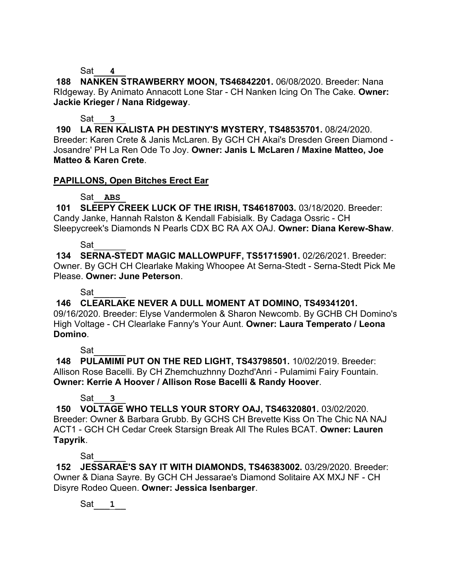Sat\_\_\_**4**\_\_

**188 NANKEN STRAWBERRY MOON, TS46842201.** 06/08/2020. Breeder: Nana RIdgeway. By Animato Annacott Lone Star - CH Nanken Icing On The Cake. **Owner: Jackie Krieger / Nana Ridgeway**.

Sat\_\_\_**3**\_\_

**190 LA REN KALISTA PH DESTINY'S MYSTERY, TS48535701.** 08/24/2020. Breeder: Karen Crete & Janis McLaren. By GCH CH Akai's Dresden Green Diamond - Josandre' PH La Ren Ode To Joy. **Owner: Janis L McLaren / Maxine Matteo, Joe Matteo & Karen Crete**.

# **PAPILLONS, Open Bitches Erect Ear**

## Sat<sub>ABS</sub>

**101 SLEEPY CREEK LUCK OF THE IRISH, TS46187003.** 03/18/2020. Breeder: Candy Janke, Hannah Ralston & Kendall Fabisialk. By Cadaga Ossric - CH Sleepycreek's Diamonds N Pearls CDX BC RA AX OAJ. **Owner: Diana Kerew-Shaw**.

Sat

**134 SERNA-STEDT MAGIC MALLOWPUFF, TS51715901.** 02/26/2021. Breeder: Owner. By GCH CH Clearlake Making Whoopee At Serna-Stedt - Serna-Stedt Pick Me Please. **Owner: June Peterson**.

Sat\_\_\_\_\_\_

**146 CLEARLAKE NEVER A DULL MOMENT AT DOMINO, TS49341201.** 

09/16/2020. Breeder: Elyse Vandermolen & Sharon Newcomb. By GCHB CH Domino's High Voltage - CH Clearlake Fanny's Your Aunt. **Owner: Laura Temperato / Leona Domino**.

Sat\_\_\_\_\_\_

**148 PULAMIMI PUT ON THE RED LIGHT, TS43798501.** 10/02/2019. Breeder: Allison Rose Bacelli. By CH Zhemchuzhnny Dozhd'Anri - Pulamimi Fairy Fountain. **Owner: Kerrie A Hoover / Allison Rose Bacelli & Randy Hoover**.

# Sat\_\_\_**3**\_\_

**150 VOLTAGE WHO TELLS YOUR STORY OAJ, TS46320801.** 03/02/2020. Breeder: Owner & Barbara Grubb. By GCHS CH Brevette Kiss On The Chic NA NAJ ACT1 - GCH CH Cedar Creek Starsign Break All The Rules BCAT. **Owner: Lauren Tapyrik**.

Sat\_\_\_\_\_\_

**152 JESSARAE'S SAY IT WITH DIAMONDS, TS46383002.** 03/29/2020. Breeder: Owner & Diana Sayre. By GCH CH Jessarae's Diamond Solitaire AX MXJ NF - CH Disyre Rodeo Queen. **Owner: Jessica Isenbarger**.

Sat\_\_\_**1**\_\_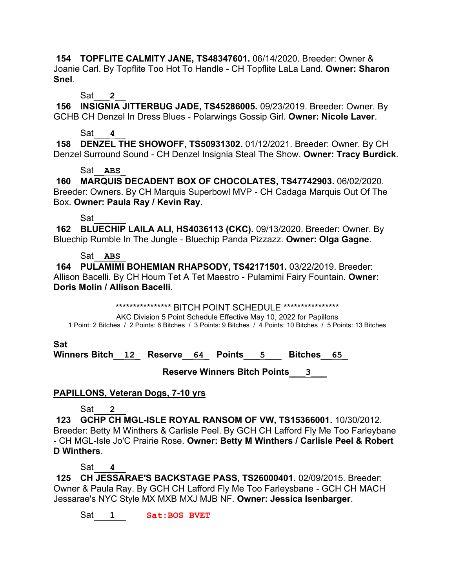**154 TOPFLITE CALMITY JANE, TS48347601.** 06/14/2020. Breeder: Owner & Joanie Carl. By Topflite Too Hot To Handle - CH Topflite LaLa Land. **Owner: Sharon Snel**.

Sat\_\_\_**2**\_\_

**156 INSIGNIA JITTERBUG JADE, TS45286005.** 09/23/2019. Breeder: Owner. By GCHB CH Denzel In Dress Blues - Polarwings Gossip Girl. **Owner: Nicole Laver**.

## Sat\_\_\_**4**\_\_

**158 DENZEL THE SHOWOFF, TS50931302.** 01/12/2021. Breeder: Owner. By CH Denzel Surround Sound - CH Denzel Insignia Steal The Show. **Owner: Tracy Burdick**.

## Sat\_\_**ABS**\_

**160 MARQUIS DECADENT BOX OF CHOCOLATES, TS47742903.** 06/02/2020. Breeder: Owners. By CH Marquis Superbowl MVP - CH Cadaga Marquis Out Of The Box. **Owner: Paula Ray / Kevin Ray**.

## Sat\_\_\_\_\_\_

**162 BLUECHIP LAILA ALI, HS4036113 (CKC).** 09/13/2020. Breeder: Owner. By Bluechip Rumble In The Jungle - Bluechip Panda Pizzazz. **Owner: Olga Gagne**.

## Sat\_\_**ABS**\_

**164 PULAMIMI BOHEMIAN RHAPSODY, TS42171501.** 03/22/2019. Breeder: Allison Bacelli. By CH Houm Tet A Tet Maestro - Pulamimi Fairy Fountain. **Owner: Doris Molin / Allison Bacelli**.

\*\*\*\*\*\*\*\*\*\*\*\*\*\*\*\*\*\*\*\* BITCH POINT SCHEDULE \*\*\*\*\*\*\*\*\*\*\*\*\*\*\*\*\*

AKC Division 5 Point Schedule Effective May 10, 2022 for Papillons 1 Point: 2 Bitches / 2 Points: 6 Bitches / 3 Points: 9 Bitches / 4 Points: 10 Bitches / 5 Points: 13 Bitches

**Sat**

**Winners Bitch\_\_12\_ Reserve\_\_64\_ Points\_\_\_5\_\_\_ Bitches\_\_65\_**

 **Reserve Winners Bitch Points\_\_\_3\_\_\_**

# **PAPILLONS, Veteran Dogs, 7-10 yrs**

Sat\_\_\_**2**\_\_

**123 GCHP CH MGL-ISLE ROYAL RANSOM OF VW, TS15366001.** 10/30/2012. Breeder: Betty M Winthers & Carlisle Peel. By GCH CH Lafford Fly Me Too Farleybane - CH MGL-Isle Jo'C Prairie Rose. **Owner: Betty M Winthers / Carlisle Peel & Robert D Winthers**.

Sat\_\_\_**4**\_\_

**125 CH JESSARAE'S BACKSTAGE PASS, TS26000401.** 02/09/2015. Breeder: Owner & Paula Ray. By GCH CH Lafford Fly Me Too Farleysbane - GCH CH MACH Jessarae's NYC Style MX MXB MXJ MJB NF. **Owner: Jessica Isenbarger**.

Sat<sub>1</sub> **Sat:BOS BVET**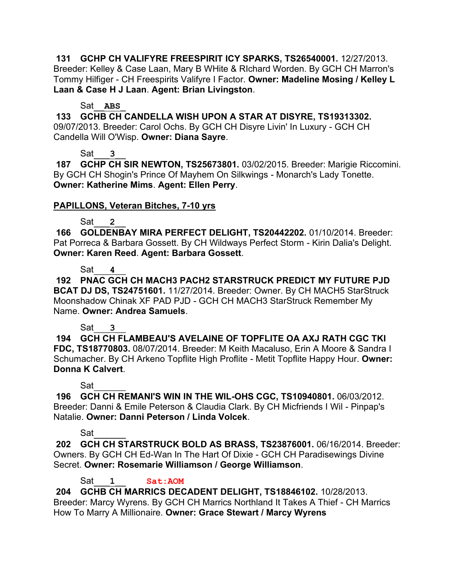**131 GCHP CH VALIFYRE FREESPIRIT ICY SPARKS, TS26540001.** 12/27/2013. Breeder: Kelley & Case Laan, Mary B WHite & RIchard Worden. By GCH CH Marron's Tommy Hilfiger - CH Freespirits Valifyre I Factor. **Owner: Madeline Mosing / Kelley L Laan & Case H J Laan**. **Agent: Brian Livingston**.

### Sat\_\_**ABS**\_

**133 GCHB CH CANDELLA WISH UPON A STAR AT DISYRE, TS19313302.**  09/07/2013. Breeder: Carol Ochs. By GCH CH Disyre Livin' In Luxury - GCH CH Candella Will O'Wisp. **Owner: Diana Sayre**.

## Sat\_\_\_**3**\_\_

**187 GCHP CH SIR NEWTON, TS25673801.** 03/02/2015. Breeder: Marigie Riccomini. By GCH CH Shogin's Prince Of Mayhem On Silkwings - Monarch's Lady Tonette. **Owner: Katherine Mims**. **Agent: Ellen Perry**.

## **PAPILLONS, Veteran Bitches, 7-10 yrs**

## Sat\_\_\_**2**\_\_

**166 GOLDENBAY MIRA PERFECT DELIGHT, TS20442202.** 01/10/2014. Breeder: Pat Porreca & Barbara Gossett. By CH Wildways Perfect Storm - Kirin Dalia's Delight. **Owner: Karen Reed**. **Agent: Barbara Gossett**.

# Sat<sub>4</sub>

**192 PNAC GCH CH MACH3 PACH2 STARSTRUCK PREDICT MY FUTURE PJD BCAT DJ DS, TS24751601.** 11/27/2014. Breeder: Owner. By CH MACH5 StarStruck Moonshadow Chinak XF PAD PJD - GCH CH MACH3 StarStruck Remember My Name. **Owner: Andrea Samuels**.

## Sat\_\_\_**3**\_\_

**194 GCH CH FLAMBEAU'S AVELAINE OF TOPFLITE OA AXJ RATH CGC TKI FDC, TS18770803.** 08/07/2014. Breeder: M Keith Macaluso, Erin A Moore & Sandra I Schumacher. By CH Arkeno Topflite High Proflite - Metit Topflite Happy Hour. **Owner: Donna K Calvert**.

# Sat\_\_\_\_\_\_

**196 GCH CH REMANI'S WIN IN THE WIL-OHS CGC, TS10940801.** 06/03/2012. Breeder: Danni & Emile Peterson & Claudia Clark. By CH Micfriends I Wil - Pinpap's Natalie. **Owner: Danni Peterson / Linda Volcek**.

## Sat

**202 GCH CH STARSTRUCK BOLD AS BRASS, TS23876001.** 06/16/2014. Breeder: Owners. By GCH CH Ed-Wan In The Hart Of Dixie - GCH CH Paradisewings Divine Secret. **Owner: Rosemarie Williamson / George Williamson**.

# Sat\_\_\_**1**\_\_ **Sat:AOM**

**204 GCHB CH MARRICS DECADENT DELIGHT, TS18846102.** 10/28/2013. Breeder: Marcy Wyrens. By GCH CH Marrics Northland It Takes A Thief - CH Marrics How To Marry A Millionaire. **Owner: Grace Stewart / Marcy Wyrens**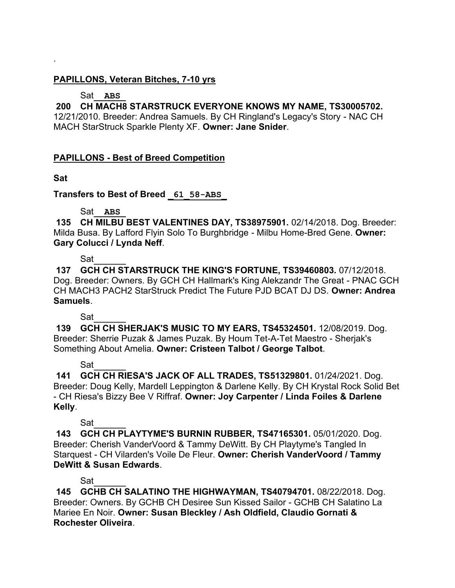## **PAPILLONS, Veteran Bitches, 7-10 yrs**

# Sat\_\_**ABS**\_

# **200 CH MACH8 STARSTRUCK EVERYONE KNOWS MY NAME, TS30005702.**

12/21/2010. Breeder: Andrea Samuels. By CH Ringland's Legacy's Story - NAC CH MACH StarStruck Sparkle Plenty XF. **Owner: Jane Snider**.

## **PAPILLONS - Best of Breed Competition**

**Sat**

.

## **Transfers to Best of Breed \_61\_58-ABS\_**

Sat\_\_**ABS**\_

**135 CH MILBU BEST VALENTINES DAY, TS38975901.** 02/14/2018. Dog. Breeder: Milda Busa. By Lafford Flyin Solo To Burghbridge - Milbu Home-Bred Gene. **Owner: Gary Colucci / Lynda Neff**.

Sat

**137 GCH CH STARSTRUCK THE KING'S FORTUNE, TS39460803.** 07/12/2018. Dog. Breeder: Owners. By GCH CH Hallmark's King Alekzandr The Great - PNAC GCH CH MACH3 PACH2 StarStruck Predict The Future PJD BCAT DJ DS. **Owner: Andrea Samuels**.

Sat\_\_\_\_\_\_

**139 GCH CH SHERJAK'S MUSIC TO MY EARS, TS45324501.** 12/08/2019. Dog. Breeder: Sherrie Puzak & James Puzak. By Houm Tet-A-Tet Maestro - Sherjak's Something About Amelia. **Owner: Cristeen Talbot / George Talbot**.

Sat

**141 GCH CH RIESA'S JACK OF ALL TRADES, TS51329801.** 01/24/2021. Dog. Breeder: Doug Kelly, Mardell Leppington & Darlene Kelly. By CH Krystal Rock Solid Bet - CH Riesa's Bizzy Bee V Riffraf. **Owner: Joy Carpenter / Linda Foiles & Darlene Kelly**.

Sat\_\_\_\_\_\_

**143 GCH CH PLAYTYME'S BURNIN RUBBER, TS47165301.** 05/01/2020. Dog. Breeder: Cherish VanderVoord & Tammy DeWitt. By CH Playtyme's Tangled In Starquest - CH Vilarden's Voile De Fleur. **Owner: Cherish VanderVoord / Tammy DeWitt & Susan Edwards**.

# Sat\_\_\_\_\_\_

**145 GCHB CH SALATINO THE HIGHWAYMAN, TS40794701.** 08/22/2018. Dog. Breeder: Owners. By GCHB CH Desiree Sun Kissed Sailor - GCHB CH Salatino La Mariee En Noir. **Owner: Susan Bleckley / Ash Oldfield, Claudio Gornati & Rochester Oliveira**.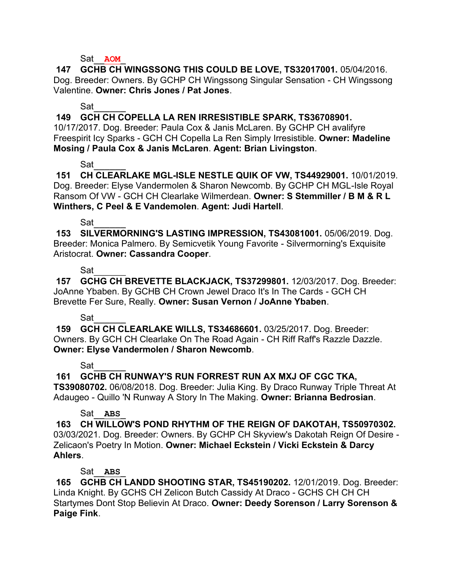#### Sat\_\_**AOM**\_

**147 GCHB CH WINGSSONG THIS COULD BE LOVE, TS32017001.** 05/04/2016. Dog. Breeder: Owners. By GCHP CH Wingssong Singular Sensation - CH Wingssong Valentine. **Owner: Chris Jones / Pat Jones**.

### Sat\_\_\_\_\_\_

**149 GCH CH COPELLA LA REN IRRESISTIBLE SPARK, TS36708901.** 

10/17/2017. Dog. Breeder: Paula Cox & Janis McLaren. By GCHP CH avalifyre Freespirit Icy Sparks - GCH CH Copella La Ren Simply Irresistible. **Owner: Madeline Mosing / Paula Cox & Janis McLaren**. **Agent: Brian Livingston**.

## Sat

**151 CH CLEARLAKE MGL-ISLE NESTLE QUIK OF VW, TS44929001.** 10/01/2019. Dog. Breeder: Elyse Vandermolen & Sharon Newcomb. By GCHP CH MGL-Isle Royal Ransom Of VW - GCH CH Clearlake Wilmerdean. **Owner: S Stemmiller / B M & R L Winthers, C Peel & E Vandemolen**. **Agent: Judi Hartell**.

## Sat\_\_\_\_\_\_

**153 SILVERMORNING'S LASTING IMPRESSION, TS43081001.** 05/06/2019. Dog. Breeder: Monica Palmero. By Semicvetik Young Favorite - Silvermorning's Exquisite Aristocrat. **Owner: Cassandra Cooper**.

## Sat\_\_\_\_\_\_

**157 GCHG CH BREVETTE BLACKJACK, TS37299801.** 12/03/2017. Dog. Breeder: JoAnne Ybaben. By GCHB CH Crown Jewel Draco It's In The Cards - GCH CH Brevette Fer Sure, Really. **Owner: Susan Vernon / JoAnne Ybaben**.

## Sat\_\_\_\_\_\_

**159 GCH CH CLEARLAKE WILLS, TS34686601.** 03/25/2017. Dog. Breeder: Owners. By GCH CH Clearlake On The Road Again - CH Riff Raff's Razzle Dazzle. **Owner: Elyse Vandermolen / Sharon Newcomb**.

## Sat

## **161 GCHB CH RUNWAY'S RUN FORREST RUN AX MXJ OF CGC TKA,**

**TS39080702.** 06/08/2018. Dog. Breeder: Julia King. By Draco Runway Triple Threat At Adaugeo - Quillo 'N Runway A Story In The Making. **Owner: Brianna Bedrosian**.

## Sat\_\_**ABS**\_

**163 CH WILLOW'S POND RHYTHM OF THE REIGN OF DAKOTAH, TS50970302.**  03/03/2021. Dog. Breeder: Owners. By GCHP CH Skyview's Dakotah Reign Of Desire - Zelicaon's Poetry In Motion. **Owner: Michael Eckstein / Vicki Eckstein & Darcy Ahlers**.

## Sat\_\_**ABS**\_

**165 GCHB CH LANDD SHOOTING STAR, TS45190202.** 12/01/2019. Dog. Breeder: Linda Knight. By GCHS CH Zelicon Butch Cassidy At Draco - GCHS CH CH CH Startymes Dont Stop Believin At Draco. **Owner: Deedy Sorenson / Larry Sorenson & Paige Fink**.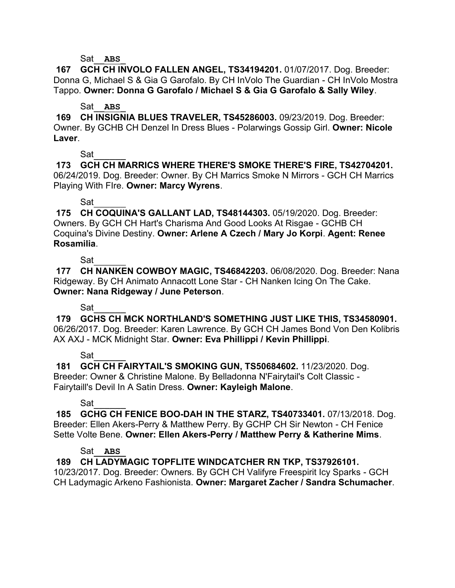#### Sat\_\_**ABS**\_

**167 GCH CH INVOLO FALLEN ANGEL, TS34194201.** 01/07/2017. Dog. Breeder: Donna G, Michael S & Gia G Garofalo. By CH InVolo The Guardian - CH InVolo Mostra Tappo. **Owner: Donna G Garofalo / Michael S & Gia G Garofalo & Sally Wiley**.

#### Sat\_\_**ABS**\_

**169 CH INSIGNIA BLUES TRAVELER, TS45286003.** 09/23/2019. Dog. Breeder: Owner. By GCHB CH Denzel In Dress Blues - Polarwings Gossip Girl. **Owner: Nicole Laver**.

### Sat\_\_\_\_\_\_

**173 GCH CH MARRICS WHERE THERE'S SMOKE THERE'S FIRE, TS42704201.**  06/24/2019. Dog. Breeder: Owner. By CH Marrics Smoke N Mirrors - GCH CH Marrics Playing With FIre. **Owner: Marcy Wyrens**.

## Sat\_\_\_\_\_\_

**175 CH COQUINA'S GALLANT LAD, TS48144303.** 05/19/2020. Dog. Breeder: Owners. By GCH CH Hart's Charisma And Good Looks At Risgae - GCHB CH Coquina's Divine Destiny. **Owner: Arlene A Czech / Mary Jo Korpi**. **Agent: Renee Rosamilia**.

## Sat\_

**177 CH NANKEN COWBOY MAGIC, TS46842203.** 06/08/2020. Dog. Breeder: Nana Ridgeway. By CH Animato Annacott Lone Star - CH Nanken Icing On The Cake. **Owner: Nana Ridgeway / June Peterson**.

## Sat\_\_\_\_\_\_

**179 GCHS CH MCK NORTHLAND'S SOMETHING JUST LIKE THIS, TS34580901.**  06/26/2017. Dog. Breeder: Karen Lawrence. By GCH CH James Bond Von Den Kolibris AX AXJ - MCK Midnight Star. **Owner: Eva Phillippi / Kevin Phillippi**.

## Sat\_\_\_\_\_\_

**181 GCH CH FAIRYTAIL'S SMOKING GUN, TS50684602.** 11/23/2020. Dog. Breeder: Owner & Christine Malone. By Belladonna N'Fairytail's Colt Classic - Fairytaill's Devil In A Satin Dress. **Owner: Kayleigh Malone**.

# Sat\_\_\_\_\_\_

**185 GCHG CH FENICE BOO-DAH IN THE STARZ, TS40733401.** 07/13/2018. Dog. Breeder: Ellen Akers-Perry & Matthew Perry. By GCHP CH Sir Newton - CH Fenice Sette Volte Bene. **Owner: Ellen Akers-Perry / Matthew Perry & Katherine Mims**.

## Sat\_\_**ABS**\_

**189 CH LADYMAGIC TOPFLITE WINDCATCHER RN TKP, TS37926101.** 

10/23/2017. Dog. Breeder: Owners. By GCH CH Valifyre Freespirit Icy Sparks - GCH CH Ladymagic Arkeno Fashionista. **Owner: Margaret Zacher / Sandra Schumacher**.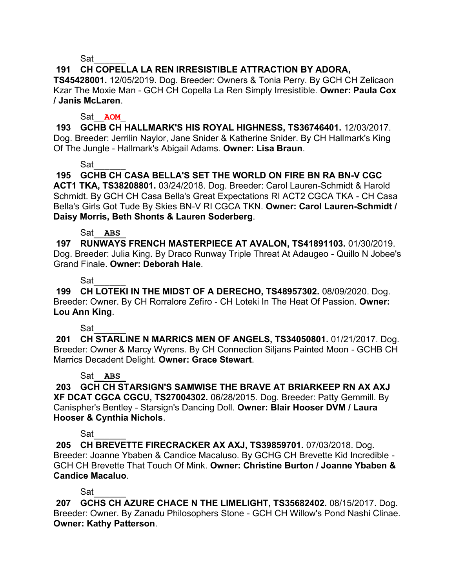Sat\_\_\_\_\_\_

# **191 CH COPELLA LA REN IRRESISTIBLE ATTRACTION BY ADORA,**

**TS45428001.** 12/05/2019. Dog. Breeder: Owners & Tonia Perry. By GCH CH Zelicaon Kzar The Moxie Man - GCH CH Copella La Ren Simply Irresistible. **Owner: Paula Cox / Janis McLaren**.

### Sat\_\_**AOM**\_

**193 GCHB CH HALLMARK'S HIS ROYAL HIGHNESS, TS36746401.** 12/03/2017. Dog. Breeder: Jerrilin Naylor, Jane Snider & Katherine Snider. By CH Hallmark's King Of The Jungle - Hallmark's Abigail Adams. **Owner: Lisa Braun**.

Sat

**195 GCHB CH CASA BELLA'S SET THE WORLD ON FIRE BN RA BN-V CGC ACT1 TKA, TS38208801.** 03/24/2018. Dog. Breeder: Carol Lauren-Schmidt & Harold Schmidt. By GCH CH Casa Bella's Great Expectations RI ACT2 CGCA TKA - CH Casa Bella's Girls Got Tude By Skies BN-V RI CGCA TKN. **Owner: Carol Lauren-Schmidt / Daisy Morris, Beth Shonts & Lauren Soderberg**.

## Sat\_\_**ABS**\_

**197 RUNWAYS FRENCH MASTERPIECE AT AVALON, TS41891103.** 01/30/2019. Dog. Breeder: Julia King. By Draco Runway Triple Threat At Adaugeo - Quillo N Jobee's Grand Finale. **Owner: Deborah Hale**.

## Sat\_\_\_\_\_\_

**199 CH LOTEKI IN THE MIDST OF A DERECHO, TS48957302.** 08/09/2020. Dog. Breeder: Owner. By CH Rorralore Zefiro - CH Loteki In The Heat Of Passion. **Owner: Lou Ann King**.

## $Sat$

**201 CH STARLINE N MARRICS MEN OF ANGELS, TS34050801.** 01/21/2017. Dog. Breeder: Owner & Marcy Wyrens. By CH Connection Siljans Painted Moon - GCHB CH Marrics Decadent Delight. **Owner: Grace Stewart**.

## Sat<sub>ABS</sub>

**203 GCH CH STARSIGN'S SAMWISE THE BRAVE AT BRIARKEEP RN AX AXJ XF DCAT CGCA CGCU, TS27004302.** 06/28/2015. Dog. Breeder: Patty Gemmill. By Canispher's Bentley - Starsign's Dancing Doll. **Owner: Blair Hooser DVM / Laura Hooser & Cynthia Nichols**.

## Sat\_\_\_\_\_\_

**205 CH BREVETTE FIRECRACKER AX AXJ, TS39859701.** 07/03/2018. Dog. Breeder: Joanne Ybaben & Candice Macaluso. By GCHG CH Brevette Kid Incredible - GCH CH Brevette That Touch Of Mink. **Owner: Christine Burton / Joanne Ybaben & Candice Macaluo**.

# Sat\_\_\_\_\_\_

**207 GCHS CH AZURE CHACE N THE LIMELIGHT, TS35682402.** 08/15/2017. Dog. Breeder: Owner. By Zanadu Philosophers Stone - GCH CH Willow's Pond Nashi Clinae. **Owner: Kathy Patterson**.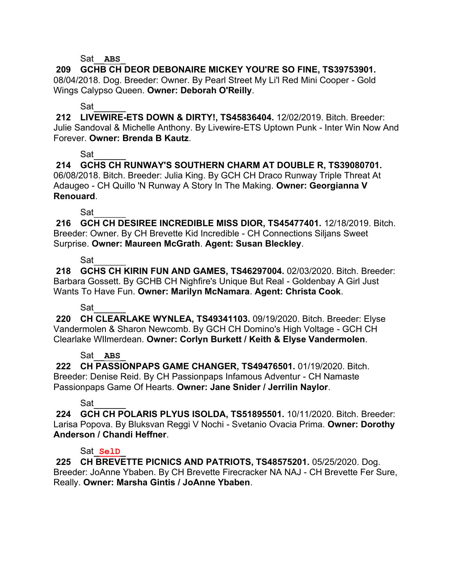#### Sat\_\_**ABS**\_

**209 GCHB CH DEOR DEBONAIRE MICKEY YOU'RE SO FINE, TS39753901.**  08/04/2018. Dog. Breeder: Owner. By Pearl Street My Li'l Red Mini Cooper - Gold Wings Calypso Queen. **Owner: Deborah O'Reilly**.

## Sat

**212 LIVEWIRE-ETS DOWN & DIRTY!, TS45836404.** 12/02/2019. Bitch. Breeder: Julie Sandoval & Michelle Anthony. By Livewire-ETS Uptown Punk - Inter Win Now And Forever. **Owner: Brenda B Kautz**.

## Sat\_\_\_\_\_\_

**214 GCHS CH RUNWAY'S SOUTHERN CHARM AT DOUBLE R, TS39080701.**  06/08/2018. Bitch. Breeder: Julia King. By GCH CH Draco Runway Triple Threat At Adaugeo - CH Quillo 'N Runway A Story In The Making. **Owner: Georgianna V Renouard**.

Sat

**216 GCH CH DESIREE INCREDIBLE MISS DIOR, TS45477401.** 12/18/2019. Bitch. Breeder: Owner. By CH Brevette Kid Incredible - CH Connections Siljans Sweet Surprise. **Owner: Maureen McGrath**. **Agent: Susan Bleckley**.

### Sat

**218 GCHS CH KIRIN FUN AND GAMES, TS46297004.** 02/03/2020. Bitch. Breeder: Barbara Gossett. By GCHB CH Nighfire's Unique But Real - Goldenbay A Girl Just Wants To Have Fun. **Owner: Marilyn McNamara**. **Agent: Christa Cook**.

## Sat\_\_\_\_\_\_

**220 CH CLEARLAKE WYNLEA, TS49341103.** 09/19/2020. Bitch. Breeder: Elyse Vandermolen & Sharon Newcomb. By GCH CH Domino's High Voltage - GCH CH Clearlake WIlmerdean. **Owner: Corlyn Burkett / Keith & Elyse Vandermolen**.

## Sat\_\_**ABS**\_

**222 CH PASSIONPAPS GAME CHANGER, TS49476501.** 01/19/2020. Bitch. Breeder: Denise Reid. By CH Passionpaps Infamous Adventur - CH Namaste Passionpaps Game Of Hearts. **Owner: Jane Snider / Jerrilin Naylor**.

# Sat\_\_\_\_\_\_

**224 GCH CH POLARIS PLYUS ISOLDA, TS51895501.** 10/11/2020. Bitch. Breeder: Larisa Popova. By Bluksvan Reggi V Nochi - Svetanio Ovacia Prima. **Owner: Dorothy Anderson / Chandi Heffner**.

## Sat\_**SelD**\_

**225 CH BREVETTE PICNICS AND PATRIOTS, TS48575201.** 05/25/2020. Dog. Breeder: JoAnne Ybaben. By CH Brevette Firecracker NA NAJ - CH Brevette Fer Sure, Really. **Owner: Marsha Gintis / JoAnne Ybaben**.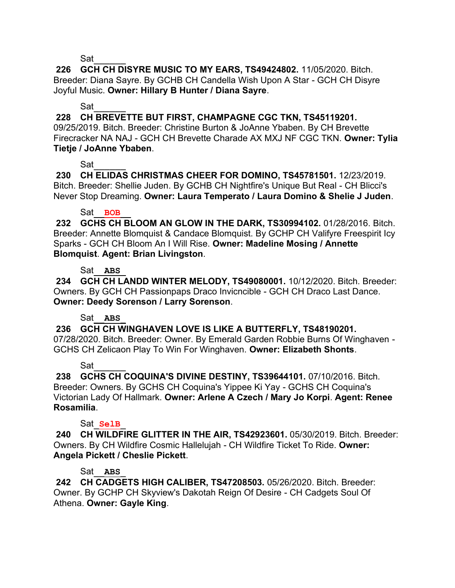Sat

**226 GCH CH DISYRE MUSIC TO MY EARS, TS49424802.** 11/05/2020. Bitch. Breeder: Diana Sayre. By GCHB CH Candella Wish Upon A Star - GCH CH Disyre Joyful Music. **Owner: Hillary B Hunter / Diana Sayre**.

## Sat

**228 CH BREVETTE BUT FIRST, CHAMPAGNE CGC TKN, TS45119201.** 

09/25/2019. Bitch. Breeder: Christine Burton & JoAnne Ybaben. By CH Brevette Firecracker NA NAJ - GCH CH Brevette Charade AX MXJ NF CGC TKN. **Owner: Tylia Tietje / JoAnne Ybaben**.

## Sat

**230 CH ELIDAS CHRISTMAS CHEER FOR DOMINO, TS45781501.** 12/23/2019. Bitch. Breeder: Shellie Juden. By GCHB CH Nightfire's Unique But Real - CH Blicci's Never Stop Dreaming. **Owner: Laura Temperato / Laura Domino & Shelie J Juden**.

## Sat<sub>BOB</sub>

**232 GCHS CH BLOOM AN GLOW IN THE DARK, TS30994102.** 01/28/2016. Bitch. Breeder: Annette Blomquist & Candace Blomquist. By GCHP CH Valifyre Freespirit Icy Sparks - GCH CH Bloom An I Will Rise. **Owner: Madeline Mosing / Annette Blomquist**. **Agent: Brian Livingston**.

## Sat\_\_**ABS**\_

**234 GCH CH LANDD WINTER MELODY, TS49080001.** 10/12/2020. Bitch. Breeder: Owners. By GCH CH Passionpaps Draco Invicncible - GCH CH Draco Last Dance. **Owner: Deedy Sorenson / Larry Sorenson**.

# Sat<sub>ABS</sub>

**236 GCH CH WINGHAVEN LOVE IS LIKE A BUTTERFLY, TS48190201.** 

07/28/2020. Bitch. Breeder: Owner. By Emerald Garden Robbie Burns Of Winghaven - GCHS CH Zelicaon Play To Win For Winghaven. **Owner: Elizabeth Shonts**.

# Sat

**238 GCHS CH COQUINA'S DIVINE DESTINY, TS39644101.** 07/10/2016. Bitch. Breeder: Owners. By GCHS CH Coquina's Yippee Ki Yay - GCHS CH Coquina's Victorian Lady Of Hallmark. **Owner: Arlene A Czech / Mary Jo Korpi**. **Agent: Renee Rosamilia**.

## Sat\_**SelB**\_

**240 CH WILDFIRE GLITTER IN THE AIR, TS42923601.** 05/30/2019. Bitch. Breeder: Owners. By CH Wildfire Cosmic Hallelujah - CH Wildfire Ticket To Ride. **Owner: Angela Pickett / Cheslie Pickett**.

# Sat\_\_**ABS**\_

**242 CH CADGETS HIGH CALIBER, TS47208503.** 05/26/2020. Bitch. Breeder: Owner. By GCHP CH Skyview's Dakotah Reign Of Desire - CH Cadgets Soul Of Athena. **Owner: Gayle King**.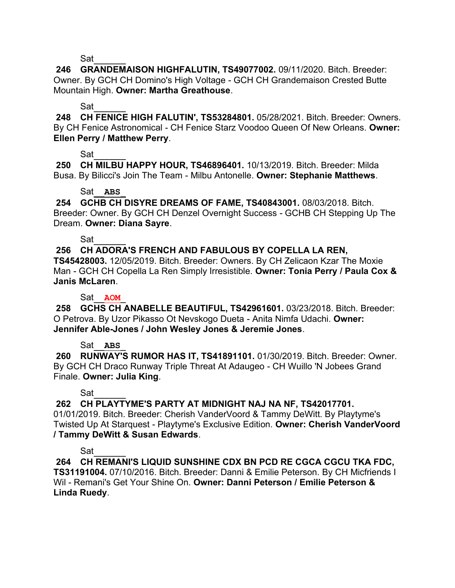Sat

**246 GRANDEMAISON HIGHFALUTIN, TS49077002.** 09/11/2020. Bitch. Breeder: Owner. By GCH CH Domino's High Voltage - GCH CH Grandemaison Crested Butte Mountain High. **Owner: Martha Greathouse**.

#### Sat

**248 CH FENICE HIGH FALUTIN', TS53284801.** 05/28/2021. Bitch. Breeder: Owners. By CH Fenice Astronomical - CH Fenice Starz Voodoo Queen Of New Orleans. **Owner: Ellen Perry / Matthew Perry**.

## Sat\_\_\_\_\_\_

**250 CH MILBU HAPPY HOUR, TS46896401.** 10/13/2019. Bitch. Breeder: Milda Busa. By Bilicci's Join The Team - Milbu Antonelle. **Owner: Stephanie Matthews**.

### Sat\_\_**ABS**\_

**254 GCHB CH DISYRE DREAMS OF FAME, TS40843001.** 08/03/2018. Bitch. Breeder: Owner. By GCH CH Denzel Overnight Success - GCHB CH Stepping Up The Dream. **Owner: Diana Sayre**.

### Sat\_\_\_\_\_\_

## **256 CH ADORA'S FRENCH AND FABULOUS BY COPELLA LA REN,**

**TS45428003.** 12/05/2019. Bitch. Breeder: Owners. By CH Zelicaon Kzar The Moxie Man - GCH CH Copella La Ren Simply Irresistible. **Owner: Tonia Perry / Paula Cox & Janis McLaren**.

## Sat\_\_**AOM**\_

**258 GCHS CH ANABELLE BEAUTIFUL, TS42961601.** 03/23/2018. Bitch. Breeder: O Petrova. By Uzor Pikasso Ot Nevskogo Dueta - Anita Nimfa Udachi. **Owner: Jennifer Able-Jones / John Wesley Jones & Jeremie Jones**.

#### Sat\_\_**ABS**\_

**260 RUNWAY'S RUMOR HAS IT, TS41891101.** 01/30/2019. Bitch. Breeder: Owner. By GCH CH Draco Runway Triple Threat At Adaugeo - CH Wuillo 'N Jobees Grand Finale. **Owner: Julia King**.

## Sat

## **262 CH PLAYTYME'S PARTY AT MIDNIGHT NAJ NA NF, TS42017701.**

01/01/2019. Bitch. Breeder: Cherish VanderVoord & Tammy DeWitt. By Playtyme's Twisted Up At Starquest - Playtyme's Exclusive Edition. **Owner: Cherish VanderVoord / Tammy DeWitt & Susan Edwards**.

## Sat\_\_\_\_\_\_

**264 CH REMANI'S LIQUID SUNSHINE CDX BN PCD RE CGCA CGCU TKA FDC, TS31191004.** 07/10/2016. Bitch. Breeder: Danni & Emilie Peterson. By CH Micfriends I Wil - Remani's Get Your Shine On. **Owner: Danni Peterson / Emilie Peterson & Linda Ruedy**.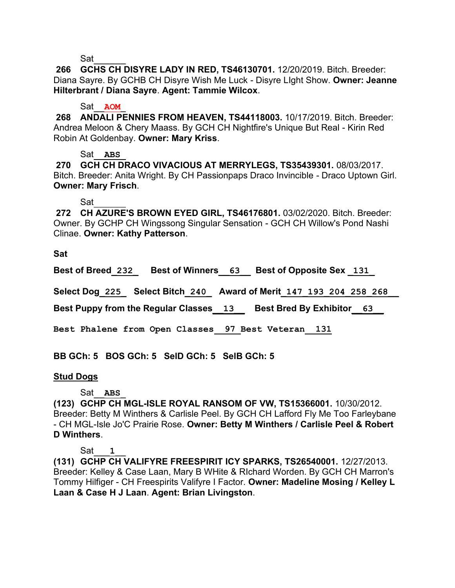Sat

**266 GCHS CH DISYRE LADY IN RED, TS46130701.** 12/20/2019. Bitch. Breeder: Diana Sayre. By GCHB CH Disyre Wish Me Luck - Disyre LIght Show. **Owner: Jeanne Hilterbrant / Diana Sayre**. **Agent: Tammie Wilcox**.

#### Sat<sub>AOM</sub>

**268 ANDALI PENNIES FROM HEAVEN, TS44118003.** 10/17/2019. Bitch. Breeder: Andrea Meloon & Chery Maass. By GCH CH Nightfire's Unique But Real - Kirin Red Robin At Goldenbay. **Owner: Mary Kriss**.

#### Sat\_\_**ABS**\_

**270 GCH CH DRACO VIVACIOUS AT MERRYLEGS, TS35439301.** 08/03/2017. Bitch. Breeder: Anita Wright. By CH Passionpaps Draco Invincible - Draco Uptown Girl. **Owner: Mary Frisch**.

Sat\_\_\_\_\_\_

**272 CH AZURE'S BROWN EYED GIRL, TS46176801.** 03/02/2020. Bitch. Breeder: Owner. By GCHP CH Wingssong Singular Sensation - GCH CH Willow's Pond Nashi Clinae. **Owner: Kathy Patterson**.

**Sat**

**Best of Breed\_232\_ Best of Winners\_\_63\_\_ Best of Opposite Sex \_131\_**

**Select Dog\_225\_ Select Bitch\_240\_ Award of Merit\_147\_193\_204\_258\_268\_\_**

**Best Puppy from the Regular Classes\_\_13\_\_ Best Bred By Exhibitor\_\_63\_\_**

**Best Phalene from Open Classes 97 Best Veteran 131** 

**BB GCh: 5 BOS GCh: 5 SelD GCh: 5 SelB GCh: 5** 

#### **Stud Dogs**

Sat\_\_**ABS**\_

**(123) GCHP CH MGL-ISLE ROYAL RANSOM OF VW, TS15366001.** 10/30/2012. Breeder: Betty M Winthers & Carlisle Peel. By GCH CH Lafford Fly Me Too Farleybane - CH MGL-Isle Jo'C Prairie Rose. **Owner: Betty M Winthers / Carlisle Peel & Robert D Winthers**.

#### Sat\_\_\_**1**\_\_

**(131) GCHP CH VALIFYRE FREESPIRIT ICY SPARKS, TS26540001.** 12/27/2013. Breeder: Kelley & Case Laan, Mary B WHite & RIchard Worden. By GCH CH Marron's Tommy Hilfiger - CH Freespirits Valifyre I Factor. **Owner: Madeline Mosing / Kelley L Laan & Case H J Laan**. **Agent: Brian Livingston**.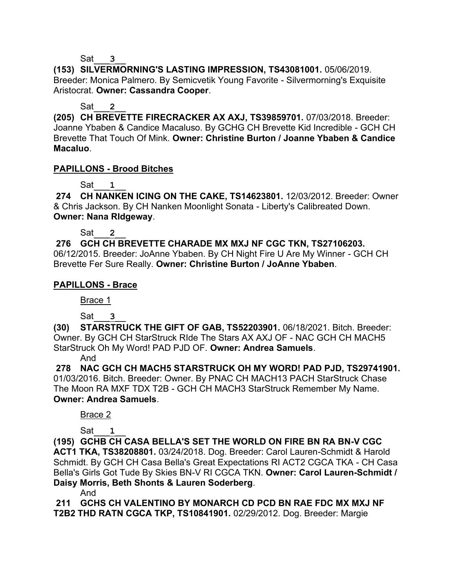#### Sat\_\_\_**3**\_\_

**(153) SILVERMORNING'S LASTING IMPRESSION, TS43081001.** 05/06/2019. Breeder: Monica Palmero. By Semicvetik Young Favorite - Silvermorning's Exquisite Aristocrat. **Owner: Cassandra Cooper**.

### Sat<sub>2</sub>

**(205) CH BREVETTE FIRECRACKER AX AXJ, TS39859701.** 07/03/2018. Breeder: Joanne Ybaben & Candice Macaluso. By GCHG CH Brevette Kid Incredible - GCH CH Brevette That Touch Of Mink. **Owner: Christine Burton / Joanne Ybaben & Candice Macaluo**.

### **PAPILLONS - Brood Bitches**

## Sat\_\_\_**1**\_\_

**274 CH NANKEN ICING ON THE CAKE, TS14623801.** 12/03/2012. Breeder: Owner & Chris Jackson. By CH Nanken Moonlight Sonata - Liberty's Calibreated Down. **Owner: Nana RIdgeway**.

Sat\_\_\_**2**\_\_

**276 GCH CH BREVETTE CHARADE MX MXJ NF CGC TKN, TS27106203.**  06/12/2015. Breeder: JoAnne Ybaben. By CH Night Fire U Are My Winner - GCH CH Brevette Fer Sure Really. **Owner: Christine Burton / JoAnne Ybaben**.

## **PAPILLONS - Brace**

Brace 1

Sat\_\_\_**3**\_\_

**(30) STARSTRUCK THE GIFT OF GAB, TS52203901.** 06/18/2021. Bitch. Breeder: Owner. By GCH CH StarStruck RIde The Stars AX AXJ OF - NAC GCH CH MACH5 StarStruck Oh My Word! PAD PJD OF. **Owner: Andrea Samuels**.

And

**278 NAC GCH CH MACH5 STARSTRUCK OH MY WORD! PAD PJD, TS29741901.**  01/03/2016. Bitch. Breeder: Owner. By PNAC CH MACH13 PACH StarStruck Chase The Moon RA MXF TDX T2B - GCH CH MACH3 StarStruck Remember My Name. **Owner: Andrea Samuels**.

## Brace 2

Sat\_\_\_**1**\_\_

**(195) GCHB CH CASA BELLA'S SET THE WORLD ON FIRE BN RA BN-V CGC ACT1 TKA, TS38208801.** 03/24/2018. Dog. Breeder: Carol Lauren-Schmidt & Harold Schmidt. By GCH CH Casa Bella's Great Expectations RI ACT2 CGCA TKA - CH Casa Bella's Girls Got Tude By Skies BN-V RI CGCA TKN. **Owner: Carol Lauren-Schmidt / Daisy Morris, Beth Shonts & Lauren Soderberg**.

And

**211 GCHS CH VALENTINO BY MONARCH CD PCD BN RAE FDC MX MXJ NF T2B2 THD RATN CGCA TKP, TS10841901.** 02/29/2012. Dog. Breeder: Margie